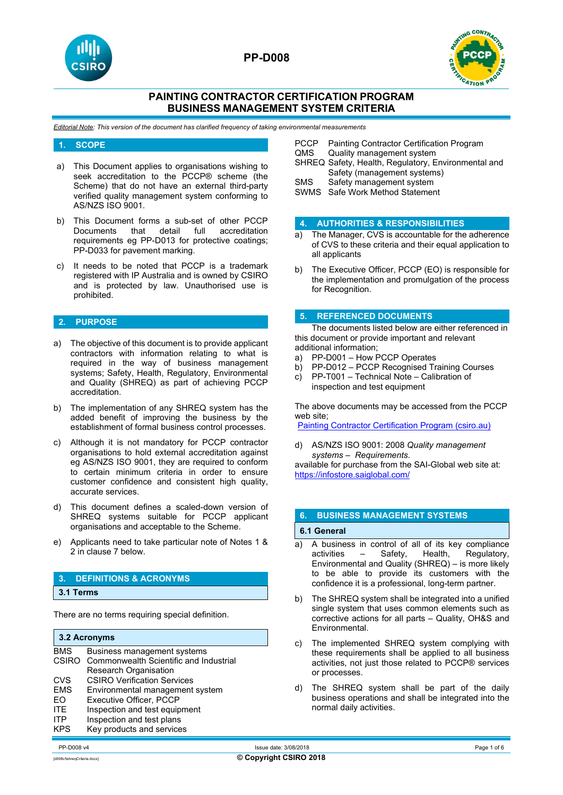



# **PAINTING CONTRACTOR CERTIFICATION PROGRAM BUSINESS MANAGEMENT SYSTEM CRITERIA**

*Editorial Note: This version of the document has clarified frequency of taking environmental measurements*

### **1. SCOPE**

- a) This Document applies to organisations wishing to seek accreditation to the PCCP® scheme (the Scheme) that do not have an external third-party verified quality management system conforming to AS/NZS ISO 9001.
- b) This Document forms a sub-set of other PCCP<br>Documents that detail full accreditation that detail full requirements eg PP-D013 for protective coatings; PP-D033 for pavement marking.
- c) It needs to be noted that PCCP is a trademark registered with IP Australia and is owned by CSIRO and is protected by law. Unauthorised use is prohibited.

## **2. PURPOSE**

- a) The objective of this document is to provide applicant contractors with information relating to what is required in the way of business management systems; Safety, Health, Regulatory, Environmental and Quality (SHREQ) as part of achieving PCCP accreditation.
- b) The implementation of any SHREQ system has the added benefit of improving the business by the establishment of formal business control processes.
- c) Although it is not mandatory for PCCP contractor organisations to hold external accreditation against eg AS/NZS ISO 9001, they are required to conform to certain minimum criteria in order to ensure customer confidence and consistent high quality, accurate services.
- d) This document defines a scaled-down version of SHREQ systems suitable for PCCP applicant organisations and acceptable to the Scheme.
- e) Applicants need to take particular note of Notes 1 & 2 in clause 7 below.

#### **3. DEFINITIONS & ACRONYMS**

**3.1 Terms** 

There are no terms requiring special definition.

#### **3.2 Acronyms**

| <b>BMS</b> | Business management systems                  |
|------------|----------------------------------------------|
|            | CSIRO Commonwealth Scientific and Industrial |
|            | Research Organisation                        |
| <b>CVS</b> | <b>CSIRO Verification Services</b>           |
| <b>EMS</b> | Environmental management system              |
| EO         | <b>Executive Officer, PCCP</b>               |
| <b>ITE</b> | Inspection and test equipment                |
| <b>ITP</b> | Inspection and test plans                    |
| <b>KPS</b> | Key products and services                    |
|            |                                              |

- PCCP Painting Contractor Certification Program<br>QMS Quality management system
- Quality management system
- SHREQ Safety, Health, Regulatory, Environmental and Safety (management systems)
- SMS Safety management system
- SWMS Safe Work Method Statement

#### **4. AUTHORITIES & RESPONSIBILITIES**

- a) The Manager, CVS is accountable for the adherence of CVS to these criteria and their equal application to all applicants
- b) The Executive Officer, PCCP (EO) is responsible for the implementation and promulgation of the process for Recognition.

### **5. REFERENCED DOCUMENTS**

The documents listed below are either referenced in this document or provide important and relevant additional information;

- a) PP-D001 How PCCP Operates
- b) PP-D012 PCCP Recognised Training Courses
- c) PP-T001 Technical Note Calibration of inspection and test equipment

The above documents may be accessed from the PCCP web site;

**[Painting Contractor Certification Program \(csiro.au\)](https://vs.csiro.au/pccp/)** 

d) AS/NZS ISO 9001: 2008 *Quality management systems – Requirements*. available for purchase from the SAI-Global web site at: <https://infostore.saiglobal.com/>

## **6. BUSINESS MANAGEMENT SYSTEMS**

## **6.1 General**

- a) A business in control of all of its key compliance<br>activities  $-$  Safety, Health, Regulatory, Regulatory, Environmental and Quality (SHREQ) – is more likely to be able to provide its customers with the confidence it is a professional, long-term partner.
- b) The SHREQ system shall be integrated into a unified single system that uses common elements such as corrective actions for all parts – Quality, OH&S and Environmental.
- The implemented SHREQ system complying with these requirements shall be applied to all business activities, not just those related to PCCP® services or processes.
- d) The SHREQ system shall be part of the daily business operations and shall be integrated into the normal daily activities.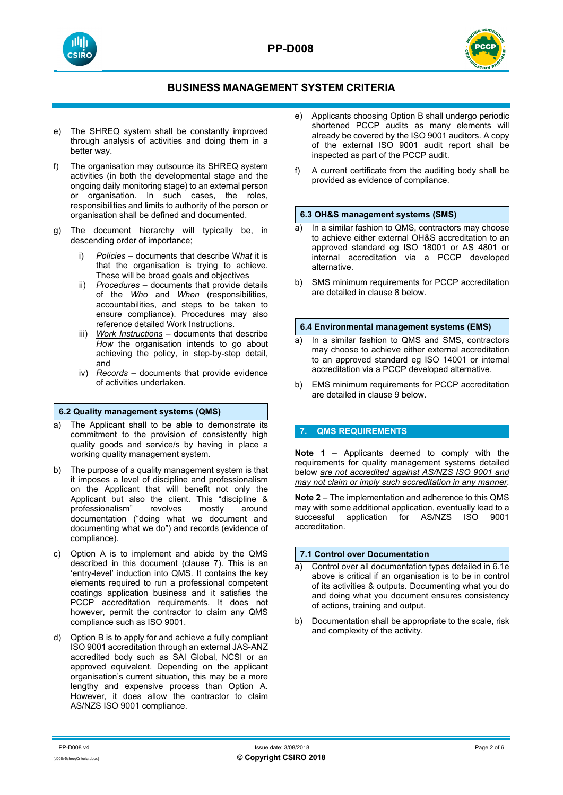



- e) The SHREQ system shall be constantly improved through analysis of activities and doing them in a better way.
- f) The organisation may outsource its SHREQ system activities (in both the developmental stage and the ongoing daily monitoring stage) to an external person or organisation. In such cases, the roles, responsibilities and limits to authority of the person or organisation shall be defined and documented.
- g) The document hierarchy will typically be, in descending order of importance;
	- i) *Policies* documents that describe W*hat* it is that the organisation is trying to achieve. These will be broad goals and objectives
	- ii) *Procedures* documents that provide details of the *Who* and *When* (responsibilities, accountabilities, and steps to be taken to ensure compliance). Procedures may also reference detailed Work Instructions.
	- iii) *Work Instructions* documents that describe *How* the organisation intends to go about achieving the policy, in step-by-step detail, and
	- iv) *Records* documents that provide evidence of activities undertaken.

# **6.2 Quality management systems (QMS)**

- a) The Applicant shall to be able to demonstrate its commitment to the provision of consistently high quality goods and service/s by having in place a working quality management system.
- b) The purpose of a quality management system is that it imposes a level of discipline and professionalism on the Applicant that will benefit not only the Applicant but also the client. This "discipline &<br>professionalism" revolves mostly around professionalism" revolves mostly around documentation ("doing what we document and documenting what we do") and records (evidence of compliance).
- c) Option A is to implement and abide by the QMS described in this document (clause 7). This is an 'entry-level' induction into QMS. It contains the key elements required to run a professional competent coatings application business and it satisfies the PCCP accreditation requirements. It does not however, permit the contractor to claim any QMS compliance such as ISO 9001.
- d) Option B is to apply for and achieve a fully compliant ISO 9001 accreditation through an external JAS-ANZ accredited body such as SAI Global, NCSI or an approved equivalent. Depending on the applicant organisation's current situation, this may be a more lengthy and expensive process than Option A. However, it does allow the contractor to claim AS/NZS ISO 9001 compliance.
- e) Applicants choosing Option B shall undergo periodic shortened PCCP audits as many elements will already be covered by the ISO 9001 auditors. A copy of the external ISO 9001 audit report shall be inspected as part of the PCCP audit.
- f) A current certificate from the auditing body shall be provided as evidence of compliance.

## **6.3 OH&S management systems (SMS)**

- a) In a similar fashion to QMS, contractors may choose to achieve either external OH&S accreditation to an approved standard eg ISO 18001 or AS 4801 or internal accreditation via a PCCP developed alternative.
- b) SMS minimum requirements for PCCP accreditation are detailed in clause 8 below.

# **6.4 Environmental management systems (EMS)**

- a) In a similar fashion to QMS and SMS, contractors may choose to achieve either external accreditation to an approved standard eg ISO 14001 or internal accreditation via a PCCP developed alternative.
- b) EMS minimum requirements for PCCP accreditation are detailed in clause 9 below.

# **7. QMS REQUIREMENTS**

**Note 1** – Applicants deemed to comply with the requirements for quality management systems detailed below *are not accredited against AS/NZS ISO 9001 and may not claim or imply such accreditation in any manner*.

**Note 2** – The implementation and adherence to this QMS may with some additional application, eventually lead to a successful application for AS/NZS ISO 9001 accreditation.

## **7.1 Control over Documentation**

- a) Control over all documentation types detailed in 6.1e above is critical if an organisation is to be in control of its activities & outputs. Documenting what you do and doing what you document ensures consistency of actions, training and output.
- b) Documentation shall be appropriate to the scale, risk and complexity of the activity.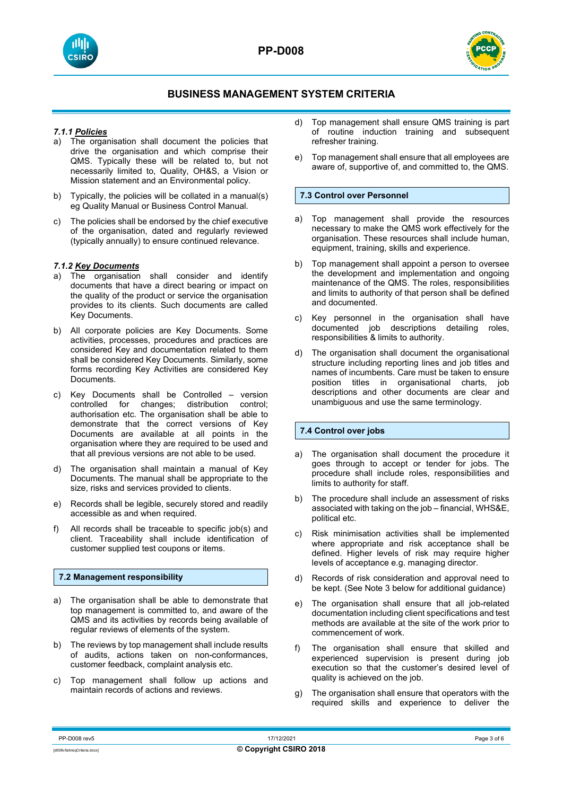



## *7.1.1 Policies*

- a) The organisation shall document the policies that drive the organisation and which comprise their QMS. Typically these will be related to, but not necessarily limited to, Quality, OH&S, a Vision or Mission statement and an Environmental policy.
- b) Typically, the policies will be collated in a manual(s) eg Quality Manual or Business Control Manual.
- c) The policies shall be endorsed by the chief executive of the organisation, dated and regularly reviewed (typically annually) to ensure continued relevance.

## *7.1.2 Key Documents*

- a) The organisation shall consider and identify documents that have a direct bearing or impact on the quality of the product or service the organisation provides to its clients. Such documents are called Key Documents.
- b) All corporate policies are Key Documents. Some activities, processes, procedures and practices are considered Key and documentation related to them shall be considered Key Documents. Similarly, some forms recording Key Activities are considered Key Documents.
- c) Key Documents shall be Controlled version controlled for changes; distribution control; authorisation etc. The organisation shall be able to demonstrate that the correct versions of Key Documents are available at all points in the organisation where they are required to be used and that all previous versions are not able to be used.
- d) The organisation shall maintain a manual of Key Documents. The manual shall be appropriate to the size, risks and services provided to clients.
- e) Records shall be legible, securely stored and readily accessible as and when required.
- f) All records shall be traceable to specific job(s) and client. Traceability shall include identification of customer supplied test coupons or items.

#### **7.2 Management responsibility**

- a) The organisation shall be able to demonstrate that top management is committed to, and aware of the QMS and its activities by records being available of regular reviews of elements of the system.
- b) The reviews by top management shall include results of audits, actions taken on non-conformances, customer feedback, complaint analysis etc.
- c) Top management shall follow up actions and maintain records of actions and reviews.
- d) Top management shall ensure QMS training is part of routine induction training and subsequent refresher training.
- e) Top management shall ensure that all employees are aware of, supportive of, and committed to, the QMS.

### **7.3 Control over Personnel**

- a) Top management shall provide the resources necessary to make the QMS work effectively for the organisation. These resources shall include human, equipment, training, skills and experience.
- b) Top management shall appoint a person to oversee the development and implementation and ongoing maintenance of the QMS. The roles, responsibilities and limits to authority of that person shall be defined and documented.
- c) Key personnel in the organisation shall have documented job descriptions detailing roles, responsibilities & limits to authority.
- d) The organisation shall document the organisational structure including reporting lines and job titles and names of incumbents. Care must be taken to ensure position titles in organisational charts, job descriptions and other documents are clear and unambiguous and use the same terminology.

# **7.4 Control over jobs**

- a) The organisation shall document the procedure it goes through to accept or tender for jobs. The procedure shall include roles, responsibilities and limits to authority for staff.
- b) The procedure shall include an assessment of risks associated with taking on the job – financial, WHS&E, political etc.
- c) Risk minimisation activities shall be implemented where appropriate and risk acceptance shall be defined. Higher levels of risk may require higher levels of acceptance e.g. managing director.
- d) Records of risk consideration and approval need to be kept. (See Note 3 below for additional guidance)
- e) The organisation shall ensure that all job-related documentation including client specifications and test methods are available at the site of the work prior to commencement of work.
- f) The organisation shall ensure that skilled and experienced supervision is present during job execution so that the customer's desired level of quality is achieved on the job.
- g) The organisation shall ensure that operators with the required skills and experience to deliver the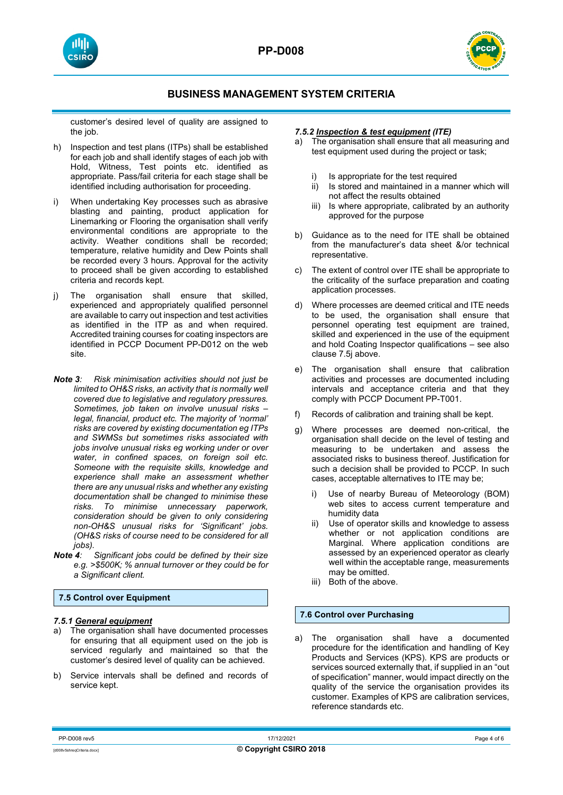



customer's desired level of quality are assigned to the job.

- h) Inspection and test plans (ITPs) shall be established for each job and shall identify stages of each job with Hold, Witness, Test points etc. identified as appropriate. Pass/fail criteria for each stage shall be identified including authorisation for proceeding.
- i) When undertaking Key processes such as abrasive blasting and painting, product application for Linemarking or Flooring the organisation shall verify environmental conditions are appropriate to the activity. Weather conditions shall be recorded; temperature, relative humidity and Dew Points shall be recorded every 3 hours. Approval for the activity to proceed shall be given according to established criteria and records kept.
- j) The organisation shall ensure that skilled, experienced and appropriately qualified personnel are available to carry out inspection and test activities as identified in the ITP as and when required. Accredited training courses for coating inspectors are identified in PCCP Document PP-D012 on the web site.
- *Note 3: Risk minimisation activities should not just be limited to OH&S risks, an activity that is normally well covered due to legislative and regulatory pressures. Sometimes, job taken on involve unusual risks – legal, financial, product etc. The majority of 'normal' risks are covered by existing documentation eg ITPs and SWMSs but sometimes risks associated with jobs involve unusual risks eg working under or over water, in confined spaces, on foreign soil etc. Someone with the requisite skills, knowledge and experience shall make an assessment whether there are any unusual risks and whether any existing documentation shall be changed to minimise these risks. To minimise unnecessary paperwork, consideration should be given to only considering non-OH&S unusual risks for 'Significant' jobs. (OH&S risks of course need to be considered for all jobs).*
- *Note 4: Significant jobs could be defined by their size e.g. >\$500K; % annual turnover or they could be for a Significant client.*

# **7.5 Control over Equipment**

#### *7.5.1 General equipment*

- a) The organisation shall have documented processes for ensuring that all equipment used on the job is serviced regularly and maintained so that the customer's desired level of quality can be achieved.
- b) Service intervals shall be defined and records of service kept.

#### *7.5.2 Inspection & test equipment (ITE)*

- a) The organisation shall ensure that all measuring and test equipment used during the project or task;
	- i) Is appropriate for the test required
	- ii) Is stored and maintained in a manner which will not affect the results obtained
	- iii) Is where appropriate, calibrated by an authority approved for the purpose
- b) Guidance as to the need for ITE shall be obtained from the manufacturer's data sheet &/or technical representative.
- c) The extent of control over ITE shall be appropriate to the criticality of the surface preparation and coating application processes.
- d) Where processes are deemed critical and ITE needs to be used, the organisation shall ensure that personnel operating test equipment are trained, skilled and experienced in the use of the equipment and hold Coating Inspector qualifications – see also clause 7.5j above.
- e) The organisation shall ensure that calibration activities and processes are documented including intervals and acceptance criteria and that they comply with PCCP Document PP-T001.
- f) Records of calibration and training shall be kept.
- g) Where processes are deemed non-critical, the organisation shall decide on the level of testing and measuring to be undertaken and assess the associated risks to business thereof. Justification for such a decision shall be provided to PCCP. In such cases, acceptable alternatives to ITE may be;
	- i) Use of nearby Bureau of Meteorology (BOM) web sites to access current temperature and humidity data
	- ii) Use of operator skills and knowledge to assess whether or not application conditions are Marginal. Where application conditions are assessed by an experienced operator as clearly well within the acceptable range, measurements may be omitted.
	- iii) Both of the above.

# **7.6 Control over Purchasing**

a) The organisation shall have a documented procedure for the identification and handling of Key Products and Services (KPS). KPS are products or services sourced externally that, if supplied in an "out of specification" manner, would impact directly on the quality of the service the organisation provides its customer. Examples of KPS are calibration services, reference standards etc.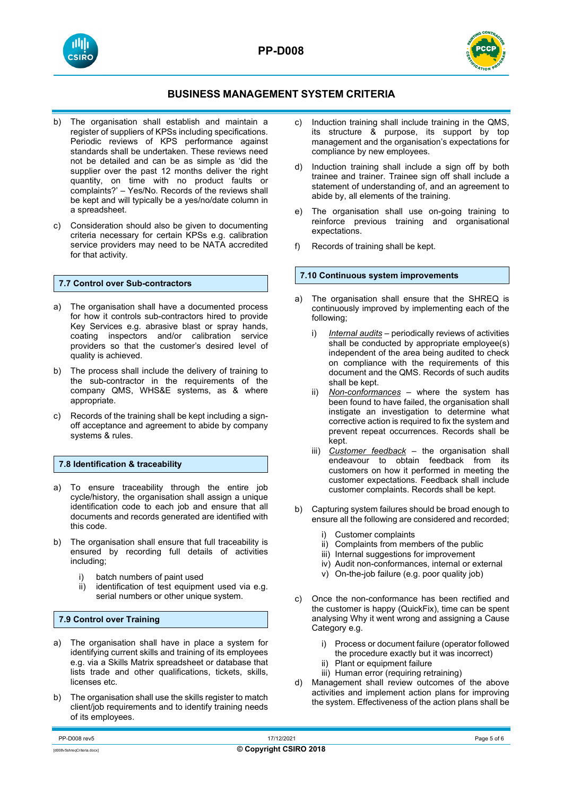**PP-D008**





# **BUSINESS MANAGEMENT SYSTEM CRITERIA**

- b) The organisation shall establish and maintain a register of suppliers of KPSs including specifications. Periodic reviews of KPS performance against standards shall be undertaken. These reviews need not be detailed and can be as simple as 'did the supplier over the past 12 months deliver the right quantity, on time with no product faults or complaints?' – Yes/No. Records of the reviews shall be kept and will typically be a yes/no/date column in a spreadsheet.
- c) Consideration should also be given to documenting criteria necessary for certain KPSs e.g. calibration service providers may need to be NATA accredited for that activity.

# **7.7 Control over Sub-contractors**

- a) The organisation shall have a documented process for how it controls sub-contractors hired to provide Key Services e.g. abrasive blast or spray hands, coating inspectors and/or calibration service providers so that the customer's desired level of quality is achieved.
- b) The process shall include the delivery of training to the sub-contractor in the requirements of the company QMS, WHS&E systems, as & where appropriate.
- c) Records of the training shall be kept including a signoff acceptance and agreement to abide by company systems & rules.

# **7.8 Identification & traceability**

- a) To ensure traceability through the entire job cycle/history, the organisation shall assign a unique identification code to each job and ensure that all documents and records generated are identified with this code.
- b) The organisation shall ensure that full traceability is ensured by recording full details of activities including;
	- i) batch numbers of paint used<br>ii) identification of test equipme
	- identification of test equipment used via e.g. serial numbers or other unique system.

#### **7.9 Control over Training**

- a) The organisation shall have in place a system for identifying current skills and training of its employees e.g. via a Skills Matrix spreadsheet or database that lists trade and other qualifications, tickets, skills, licenses etc.
- b) The organisation shall use the skills register to match client/job requirements and to identify training needs of its employees.
- c) Induction training shall include training in the QMS, its structure & purpose, its support by top management and the organisation's expectations for compliance by new employees.
- d) Induction training shall include a sign off by both trainee and trainer. Trainee sign off shall include a statement of understanding of, and an agreement to abide by, all elements of the training.
- e) The organisation shall use on-going training to reinforce previous training and organisational expectations.
- f) Records of training shall be kept.

# **7.10 Continuous system improvements**

- a) The organisation shall ensure that the SHREQ is continuously improved by implementing each of the following;
	- i) *Internal audits* periodically reviews of activities shall be conducted by appropriate employee(s) independent of the area being audited to check on compliance with the requirements of this document and the QMS. Records of such audits shall be kept.
	- ii) *Non-conformances* where the system has been found to have failed, the organisation shall instigate an investigation to determine what corrective action is required to fix the system and prevent repeat occurrences. Records shall be kept.
	- iii) *Customer feedback* the organisation shall endeavour to obtain feedback from its customers on how it performed in meeting the customer expectations. Feedback shall include customer complaints. Records shall be kept.
- b) Capturing system failures should be broad enough to ensure all the following are considered and recorded;
	- i) Customer complaints
	- ii) Complaints from members of the public
	- iii) Internal suggestions for improvement
	- iv) Audit non-conformances, internal or external
	- v) On-the-job failure (e.g. poor quality job)
- c) Once the non-conformance has been rectified and the customer is happy (QuickFix), time can be spent analysing Why it went wrong and assigning a Cause Category e.g.
	- i) Process or document failure (operator followed the procedure exactly but it was incorrect)
	- ii) Plant or equipment failure
	- iii) Human error (requiring retraining)
- Management shall review outcomes of the above activities and implement action plans for improving the system. Effectiveness of the action plans shall be